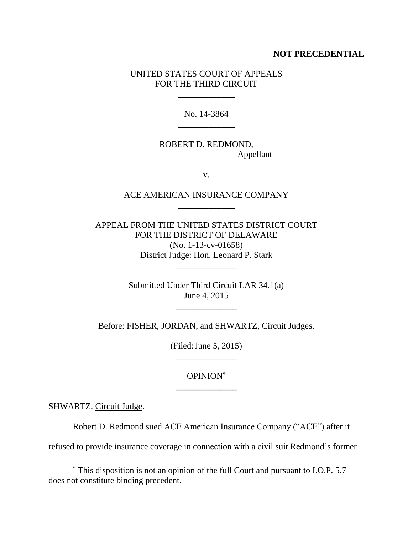## **NOT PRECEDENTIAL**

## UNITED STATES COURT OF APPEALS FOR THE THIRD CIRCUIT

\_\_\_\_\_\_\_\_\_\_\_\_\_

No. 14-3864 \_\_\_\_\_\_\_\_\_\_\_\_\_

ROBERT D. REDMOND, Appellant

v.

## ACE AMERICAN INSURANCE COMPANY \_\_\_\_\_\_\_\_\_\_\_\_\_

APPEAL FROM THE UNITED STATES DISTRICT COURT FOR THE DISTRICT OF DELAWARE (No. 1-13-cv-01658) District Judge: Hon. Leonard P. Stark

\_\_\_\_\_\_\_\_\_\_\_\_\_\_

Submitted Under Third Circuit LAR 34.1(a) June 4, 2015

\_\_\_\_\_\_\_\_\_\_\_\_\_\_

Before: FISHER, JORDAN, and SHWARTZ, Circuit Judges.

(Filed:June 5, 2015) \_\_\_\_\_\_\_\_\_\_\_\_\_\_

OPINION\* \_\_\_\_\_\_\_\_\_\_\_\_\_\_

SHWARTZ, Circuit Judge.

 $\overline{a}$ 

Robert D. Redmond sued ACE American Insurance Company ("ACE") after it

refused to provide insurance coverage in connection with a civil suit Redmond's former

<sup>\*</sup> This disposition is not an opinion of the full Court and pursuant to I.O.P. 5.7 does not constitute binding precedent.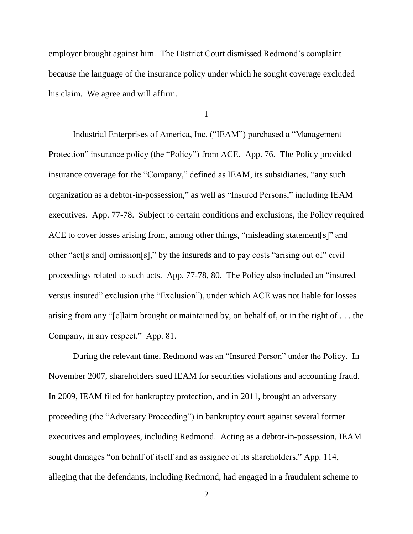employer brought against him. The District Court dismissed Redmond's complaint because the language of the insurance policy under which he sought coverage excluded his claim. We agree and will affirm.

I

Industrial Enterprises of America, Inc. ("IEAM") purchased a "Management Protection" insurance policy (the "Policy") from ACE. App. 76. The Policy provided insurance coverage for the "Company," defined as IEAM, its subsidiaries, "any such organization as a debtor-in-possession," as well as "Insured Persons," including IEAM executives. App. 77-78. Subject to certain conditions and exclusions, the Policy required ACE to cover losses arising from, among other things, "misleading statement[s]" and other "act[s and] omission[s]," by the insureds and to pay costs "arising out of" civil proceedings related to such acts. App. 77-78, 80. The Policy also included an "insured versus insured" exclusion (the "Exclusion"), under which ACE was not liable for losses arising from any "[c]laim brought or maintained by, on behalf of, or in the right of . . . the Company, in any respect." App. 81.

During the relevant time, Redmond was an "Insured Person" under the Policy. In November 2007, shareholders sued IEAM for securities violations and accounting fraud. In 2009, IEAM filed for bankruptcy protection, and in 2011, brought an adversary proceeding (the "Adversary Proceeding") in bankruptcy court against several former executives and employees, including Redmond. Acting as a debtor-in-possession, IEAM sought damages "on behalf of itself and as assignee of its shareholders," App. 114, alleging that the defendants, including Redmond, had engaged in a fraudulent scheme to

2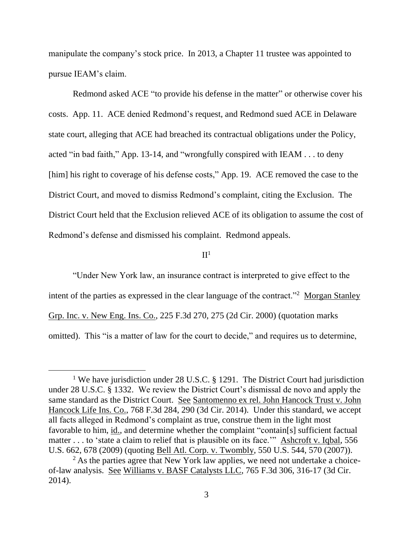manipulate the company's stock price. In 2013, a Chapter 11 trustee was appointed to pursue IEAM's claim.

Redmond asked ACE "to provide his defense in the matter" or otherwise cover his costs. App. 11. ACE denied Redmond's request, and Redmond sued ACE in Delaware state court, alleging that ACE had breached its contractual obligations under the Policy, acted "in bad faith," App. 13-14, and "wrongfully conspired with IEAM . . . to deny [him] his right to coverage of his defense costs," App. 19. ACE removed the case to the District Court, and moved to dismiss Redmond's complaint, citing the Exclusion. The District Court held that the Exclusion relieved ACE of its obligation to assume the cost of Redmond's defense and dismissed his complaint. Redmond appeals.

 $\Pi^1$ 

"Under New York law, an insurance contract is interpreted to give effect to the intent of the parties as expressed in the clear language of the contract."<sup>2</sup> Morgan Stanley Grp. Inc. v. New Eng. Ins. Co., 225 F.3d 270, 275 (2d Cir. 2000) (quotation marks omitted). This "is a matter of law for the court to decide," and requires us to determine,

 $\overline{a}$ 

<sup>&</sup>lt;sup>1</sup> We have jurisdiction under 28 U.S.C. § 1291. The District Court had jurisdiction under 28 U.S.C. § 1332. We review the District Court's dismissal de novo and apply the same standard as the District Court. See Santomenno ex rel. John Hancock Trust v. John Hancock Life Ins. Co., 768 F.3d 284, 290 (3d Cir. 2014). Under this standard, we accept all facts alleged in Redmond's complaint as true, construe them in the light most favorable to him, id., and determine whether the complaint "contain[s] sufficient factual matter . . . to 'state a claim to relief that is plausible on its face.'" Ashcroft v. Iqbal, 556 U.S. 662, 678 (2009) (quoting Bell Atl. Corp. v. Twombly, 550 U.S. 544, 570 (2007)).

 $<sup>2</sup>$  As the parties agree that New York law applies, we need not undertake a choice-</sup> of-law analysis. See Williams v. BASF Catalysts LLC, 765 F.3d 306, 316-17 (3d Cir. 2014).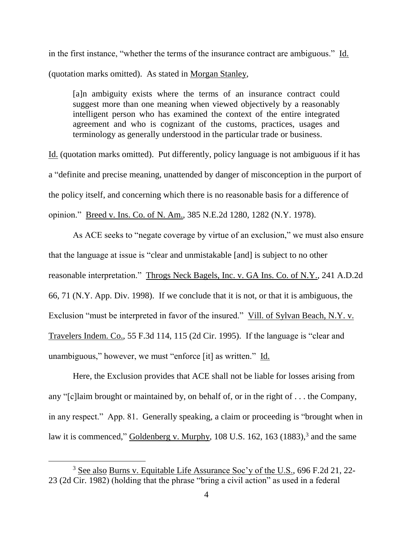in the first instance, "whether the terms of the insurance contract are ambiguous." Id. (quotation marks omitted). As stated in Morgan Stanley,

[a]n ambiguity exists where the terms of an insurance contract could suggest more than one meaning when viewed objectively by a reasonably intelligent person who has examined the context of the entire integrated agreement and who is cognizant of the customs, practices, usages and terminology as generally understood in the particular trade or business.

Id. (quotation marks omitted). Put differently, policy language is not ambiguous if it has a "definite and precise meaning, unattended by danger of misconception in the purport of the policy itself, and concerning which there is no reasonable basis for a difference of opinion." Breed v. Ins. Co. of N. Am., 385 N.E.2d 1280, 1282 (N.Y. 1978).

As ACE seeks to "negate coverage by virtue of an exclusion," we must also ensure that the language at issue is "clear and unmistakable [and] is subject to no other reasonable interpretation." Throgs Neck Bagels, Inc. v. GA Ins. Co. of N.Y., 241 A.D.2d 66, 71 (N.Y. App. Div. 1998). If we conclude that it is not, or that it is ambiguous, the Exclusion "must be interpreted in favor of the insured." Vill. of Sylvan Beach, N.Y. v. Travelers Indem. Co., 55 F.3d 114, 115 (2d Cir. 1995). If the language is "clear and unambiguous," however, we must "enforce [it] as written." Id.

Here, the Exclusion provides that ACE shall not be liable for losses arising from any "[c]laim brought or maintained by, on behalf of, or in the right of . . . the Company, in any respect." App. 81. Generally speaking, a claim or proceeding is "brought when in law it is commenced," Goldenberg v. Murphy, 108 U.S. 162, 163 (1883),<sup>3</sup> and the same

 $\overline{a}$ 

<sup>3</sup> See also Burns v. Equitable Life Assurance Soc'y of the U.S., 696 F.2d 21, 22- 23 (2d Cir. 1982) (holding that the phrase "bring a civil action" as used in a federal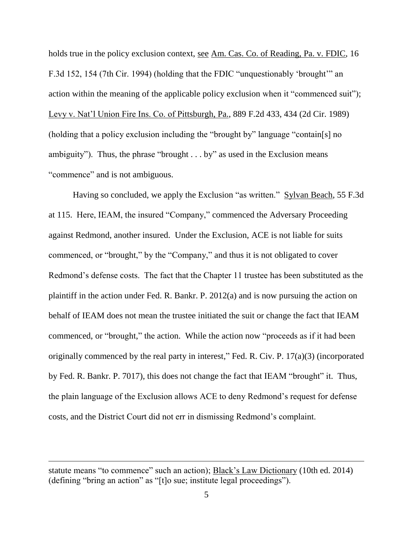holds true in the policy exclusion context, <u>see Am. Cas. Co. of Reading</u>, Pa. v. FDIC, 16 F.3d 152, 154 (7th Cir. 1994) (holding that the FDIC "unquestionably 'brought'" an action within the meaning of the applicable policy exclusion when it "commenced suit"); Levy v. Nat'l Union Fire Ins. Co. of Pittsburgh, Pa., 889 F.2d 433, 434 (2d Cir. 1989) (holding that a policy exclusion including the "brought by" language "contain[s] no ambiguity"). Thus, the phrase "brought . . . by" as used in the Exclusion means "commence" and is not ambiguous.

Having so concluded, we apply the Exclusion "as written." Sylvan Beach, 55 F.3d at 115. Here, IEAM, the insured "Company," commenced the Adversary Proceeding against Redmond, another insured. Under the Exclusion, ACE is not liable for suits commenced, or "brought," by the "Company," and thus it is not obligated to cover Redmond's defense costs. The fact that the Chapter 11 trustee has been substituted as the plaintiff in the action under Fed. R. Bankr. P. 2012(a) and is now pursuing the action on behalf of IEAM does not mean the trustee initiated the suit or change the fact that IEAM commenced, or "brought," the action. While the action now "proceeds as if it had been originally commenced by the real party in interest," Fed. R. Civ. P. 17(a)(3) (incorporated by Fed. R. Bankr. P. 7017), this does not change the fact that IEAM "brought" it. Thus, the plain language of the Exclusion allows ACE to deny Redmond's request for defense costs, and the District Court did not err in dismissing Redmond's complaint.

 $\overline{a}$ 

statute means "to commence" such an action); Black's Law Dictionary (10th ed. 2014) (defining "bring an action" as "[t]o sue; institute legal proceedings").